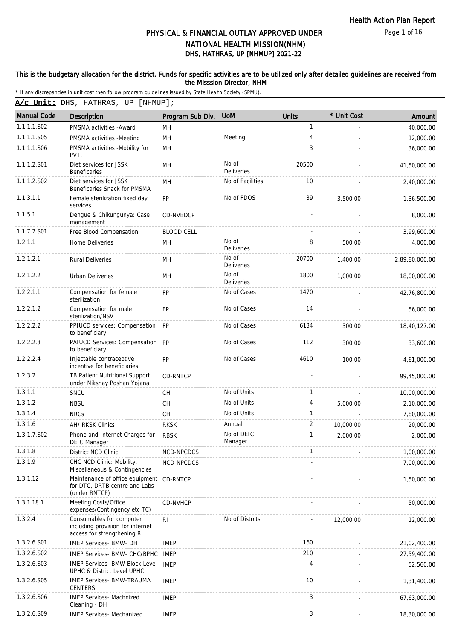Page 1 of 16

# DHS, HATHRAS, UP [NHMUP] 2021-22 PHYSICAL & FINANCIAL OUTLAY APPROVED UNDER NATIONAL HEALTH MISSION(NHM)

### This is the budgetary allocation for the district. Funds for specific activities are to be utilized only after detailed guidelines are received from the Misssion Director, NHM

|  |  | A/c Unit: DHS, HATHRAS, UP [NHMUP]; |
|--|--|-------------------------------------|
|--|--|-------------------------------------|

| <b>Manual Code</b> | <b>Description</b>                                                                          | Program Sub Div.  | <b>UoM</b>                 | <b>Units</b> | * Unit Cost | Amount         |
|--------------------|---------------------------------------------------------------------------------------------|-------------------|----------------------------|--------------|-------------|----------------|
| 1.1.1.1.S02        | PMSMA activities - Award                                                                    | MН                |                            | 1            |             | 40,000.00      |
| 1.1.1.1.S05        | PMSMA activities -Meeting                                                                   | MH                | Meeting                    | 4            |             | 12,000.00      |
| 1.1.1.1.S06        | PMSMA activities -Mobility for<br>PVT.                                                      | <b>MH</b>         |                            | 3            |             | 36,000.00      |
| 1.1.1.2.S01        | Diet services for JSSK<br><b>Beneficaries</b>                                               | MH                | No of<br><b>Deliveries</b> | 20500        |             | 41,50,000.00   |
| 1.1.1.2.S02        | Diet services for JSSK<br>Beneficaries Snack for PMSMA                                      | MH                | No of Facilities           | 10           |             | 2,40,000.00    |
| 1.1.3.1.1          | Female sterilization fixed day<br>services                                                  | FP                | No of FDOS                 | 39           | 3.500.00    | 1,36,500.00    |
| 1.1.5.1            | Dengue & Chikungunya: Case<br>management                                                    | CD-NVBDCP         |                            |              |             | 8,000.00       |
| 1.1.7.7.S01        | Free Blood Compensation                                                                     | <b>BLOOD CELL</b> |                            |              |             | 3,99,600.00    |
| 1.2.1.1            | <b>Home Deliveries</b>                                                                      | MH                | No of<br><b>Deliveries</b> | 8            | 500.00      | 4,000.00       |
| 1.2.1.2.1          | <b>Rural Deliveries</b>                                                                     | <b>MH</b>         | No of<br><b>Deliveries</b> | 20700        | 1,400.00    | 2,89,80,000.00 |
| 1.2.1.2.2          | <b>Urban Deliveries</b>                                                                     | <b>MH</b>         | No of<br>Deliveries        | 1800         | 1,000.00    | 18,00,000.00   |
| 1.2.2.1.1          | Compensation for female<br>sterilization                                                    | <b>FP</b>         | No of Cases                | 1470         |             | 42,76,800.00   |
| 1.2.2.1.2          | Compensation for male<br>sterilization/NSV                                                  | FP                | No of Cases                | 14           |             | 56,000.00      |
| 1.2.2.2.2          | PPIUCD services: Compensation<br>to beneficiary                                             | <b>FP</b>         | No of Cases                | 6134         | 300.00      | 18,40,127.00   |
| 1.2.2.2.3          | PAIUCD Services: Compensation FP<br>to beneficiary                                          |                   | No of Cases                | 112          | 300.00      | 33,600.00      |
| 1.2.2.2.4          | Injectable contraceptive<br>incentive for beneficiaries                                     | <b>FP</b>         | No of Cases                | 4610         | 100.00      | 4,61,000.00    |
| 1.2.3.2            | TB Patient Nutritional Support<br>under Nikshay Poshan Yojana                               | <b>CD-RNTCP</b>   |                            |              |             | 99,45,000.00   |
| 1.3.1.1            | SNCU                                                                                        | <b>CH</b>         | No of Units                | 1            |             | 10,00,000.00   |
| 1.3.1.2            | <b>NBSU</b>                                                                                 | CH                | No of Units                | 4            | 5,000.00    | 2,10,000.00    |
| 1.3.1.4            | <b>NRCs</b>                                                                                 | CH                | No of Units                | $\mathbf{1}$ |             | 7,80,000.00    |
| 1.3.1.6            | <b>AH/ RKSK Clinics</b>                                                                     | <b>RKSK</b>       | Annual                     | 2            | 10,000.00   | 20,000.00      |
| 1.3.1.7.S02        | Phone and Internet Charges for<br><b>DEIC Manager</b>                                       | <b>RBSK</b>       | No of DEIC<br>Manager      | 1            | 2,000.00    | 2,000.00       |
| 1.3.1.8            | District NCD Clinic                                                                         | NCD-NPCDCS        |                            |              |             | 1,00,000.00    |
| 1.3.1.9            | CHC NCD Clinic: Mobility,<br>Miscellaneous & Contingencies                                  | NCD-NPCDCS        |                            |              |             | 7,00,000.00    |
| 1.3.1.12           | Maintenance of office equipment<br>for DTC, DRTB centre and Labs<br>(under RNTCP)           | CD-RNTCP          |                            |              |             | 1,50,000.00    |
| 1.3.1.18.1         | Meeting Costs/Office<br>expenses/Contingency etc TC)                                        | <b>CD-NVHCP</b>   |                            |              |             | 50,000.00      |
| 1.3.2.4            | Consumables for computer<br>including provision for internet<br>access for strengthening RI | R <sub>l</sub>    | No of Distrcts             |              | 12,000.00   | 12,000.00      |
| 1.3.2.6.S01        | IMEP Services- BMW- DH                                                                      | <b>IMEP</b>       |                            | 160          |             | 21,02,400.00   |
| 1.3.2.6.S02        | IMEP Services- BMW- CHC/BPHC IMEP                                                           |                   |                            | 210          |             | 27,59,400.00   |
| 1.3.2.6.S03        | IMEP Services- BMW Block Level<br>UPHC & District Level UPHC                                | <b>IMEP</b>       |                            | 4            |             | 52,560.00      |
| 1.3.2.6.S05        | <b>IMEP Services- BMW-TRAUMA</b><br>CENTERS                                                 | <b>IMEP</b>       |                            | 10           |             | 1,31,400.00    |
| 1.3.2.6.S06        | <b>IMEP Services- Machnized</b><br>Cleaning - DH                                            | <b>IMEP</b>       |                            | 3            |             | 67,63,000.00   |
| 1.3.2.6.S09        | <b>IMEP Services- Mechanized</b>                                                            | <b>IMEP</b>       |                            | 3            |             | 18,30,000.00   |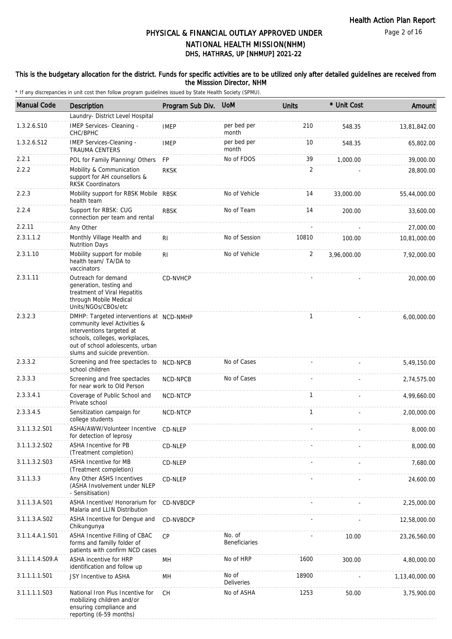### This is the budgetary allocation for the district. Funds for specific activities are to be utilized only after detailed guidelines are received from the Misssion Director, NHM

| <b>Manual Code</b> | Description                                                                                                                                                                                                  | Program Sub Div. | <b>UoM</b>                 | <b>Units</b> | * Unit Cost | Amount         |
|--------------------|--------------------------------------------------------------------------------------------------------------------------------------------------------------------------------------------------------------|------------------|----------------------------|--------------|-------------|----------------|
|                    | Laundry- District Level Hospital                                                                                                                                                                             |                  |                            |              |             |                |
| 1.3.2.6.S10        | IMEP Services- Cleaning -<br>CHC/BPHC                                                                                                                                                                        | <b>IMEP</b>      | per bed per<br>month       | 210          | 548.35      | 13,81,842.00   |
| 1.3.2.6.S12        | IMEP Services-Cleaning -<br><b>TRAUMA CENTERS</b>                                                                                                                                                            | <b>IMEP</b>      | per bed per<br>month       | 10           | 548.35      | 65,802.00      |
| 2.2.1              | POL for Family Planning/ Others                                                                                                                                                                              | FP               | No of FDOS                 | 39           | 1,000.00    | 39,000.00      |
| 2.2.2              | Mobility & Communication<br>support for AH counsellors &<br><b>RKSK Coordinators</b>                                                                                                                         | <b>RKSK</b>      |                            | 2            |             | 28,800.00      |
| 2.2.3              | Mobility support for RBSK Mobile RBSK<br>health team                                                                                                                                                         |                  | No of Vehicle              | 14           | 33,000.00   | 55,44,000.00   |
| 2.2.4              | Support for RBSK: CUG<br>connection per team and rental                                                                                                                                                      | <b>RBSK</b>      | No of Team                 | 14           | 200.00      | 33,600.00      |
| 2.2.11             | Any Other                                                                                                                                                                                                    |                  |                            |              |             | 27,000.00      |
| 2.3.1.1.2          | Monthly Village Health and<br><b>Nutrition Days</b>                                                                                                                                                          | RI.              | No of Session              | 10810        | 100.00      | 10,81,000.00   |
| 2.3.1.10           | Mobility support for mobile<br>health team/ TA/DA to<br>vaccinators                                                                                                                                          | RI               | No of Vehicle              | 2            | 3,96,000.00 | 7,92,000.00    |
| 2.3.1.11           | Outreach for demand<br>generation, testing and<br>treatment of Viral Hepatitis<br>through Mobile Medical<br>Units/NGOs/CBOs/etc                                                                              | CD-NVHCP         |                            |              |             | 20,000.00      |
| 2.3.2.3            | DMHP: Targeted interventions at NCD-NMHP<br>community level Activities &<br>interventions targeted at<br>schools, colleges, workplaces,<br>out of school adolescents, urban<br>slums and suicide prevention. |                  |                            | $\mathbf{1}$ |             | 6,00,000.00    |
| 2.3.3.2            | Screening and free spectacles to NCD-NPCB<br>school children                                                                                                                                                 |                  | No of Cases                |              |             | 5,49,150.00    |
| 2.3.3.3            | Screening and free spectacles<br>for near work to Old Person                                                                                                                                                 | NCD-NPCB         | No of Cases                |              |             | 2,74,575.00    |
| 2.3.3.4.1          | Coverage of Public School and<br>Private school                                                                                                                                                              | NCD-NTCP         |                            | $\mathbf{1}$ |             | 4,99,660.00    |
| 2.3.3.4.5          | Sensitization campaign for<br>college students                                                                                                                                                               | NCD-NTCP         |                            | $\mathbf{1}$ |             | 2,00,000.00    |
| 3.1.1.3.2.S01      | ASHA/AWW/Volunteer Incentive<br>for detection of leprosy                                                                                                                                                     | CD-NLEP          |                            |              |             | 8,000.00       |
| 3.1.1.3.2.S02      | <b>ASHA Incentive for PB</b><br>(Treatment completion)                                                                                                                                                       | CD-NLEP          |                            |              |             | 8,000.00       |
| 3.1.1.3.2.S03      | ASHA Incentive for MB<br>(Treatment completion)                                                                                                                                                              | CD-NLEP          |                            |              |             | 7,680.00       |
| 3.1.1.3.3          | Any Other ASHS Incentives<br>(ASHA Involvement under NLEP<br>- Sensitisation)                                                                                                                                | CD-NLEP          |                            |              |             | 24,600.00      |
| 3.1.1.3.A.S01      | ASHA Incentive/ Honorarium for<br>Malaria and LLIN Distribution                                                                                                                                              | CD-NVBDCP        |                            |              |             | 2,25,000.00    |
| 3.1.1.3.A.S02      | ASHA Incentive for Dengue and<br>Chikungunya                                                                                                                                                                 | CD-NVBDCP        |                            |              |             | 12,58,000.00   |
| 3.1.1.4.A.1.S01    | ASHA Incentive Filling of CBAC<br>forms and familly folder of<br>patients with confirm NCD cases                                                                                                             | <b>CP</b>        | No. of<br>Beneficiaries    |              | 10.00       | 23,26,560.00   |
| 3.1.1.1.4.S09.A    | ASHA incentive for HRP<br>identification and follow up                                                                                                                                                       | MН               | No of HRP                  | 1600         | 300.00      | 4,80,000.00    |
| 3.1.1.1.1.S01      | JSY Incentive to ASHA                                                                                                                                                                                        | MH               | No of<br><b>Deliveries</b> | 18900        |             | 1,13,40,000.00 |
| 3.1.1.1.1.S03      | National Iron Plus Incentive for<br>mobilizing children and/or<br>ensuring compliance and<br>reporting (6-59 months)                                                                                         | <b>CH</b>        | No of ASHA                 | 1253         | 50.00       | 3,75,900.00    |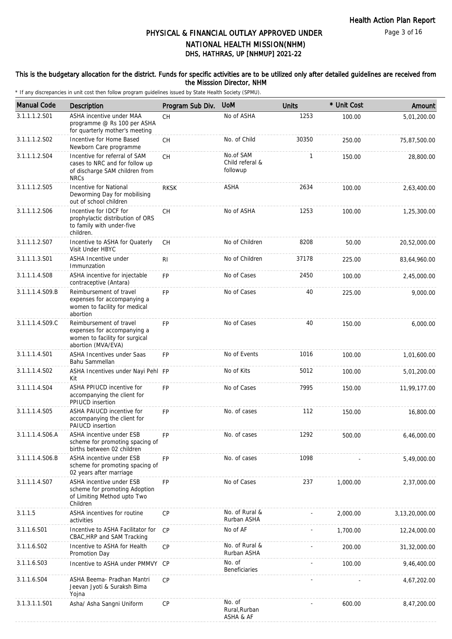### This is the budgetary allocation for the district. Funds for specific activities are to be utilized only after detailed guidelines are received from the Misssion Director, NHM

| <b>Manual Code</b>      | Description                                                                                                      | Program Sub Div. | <b>UoM</b>                               | <b>Units</b> | * Unit Cost | Amount            |
|-------------------------|------------------------------------------------------------------------------------------------------------------|------------------|------------------------------------------|--------------|-------------|-------------------|
| 3.1.1.1.2.S01           | ASHA incentive under MAA<br>programme @ Rs 100 per ASHA<br>for quarterly mother's meeting                        | <b>CH</b>        | No of ASHA                               | 1253         | 100.00      | 5,01,200.00       |
| 3.1.1.1.2.S02           | Incentive for Home Based<br>Newborn Care programme                                                               | <b>CH</b>        | No. of Child                             | 30350        | 250.00      | 75,87,500.00      |
| 3.1.1.1.2.S04           | Incentive for referral of SAM<br>cases to NRC and for follow up<br>of discharge SAM children from<br><b>NRCs</b> | <b>CH</b>        | No.of SAM<br>Child referal &<br>followup | 1            | 150.00      | 28,800.00         |
| 3.1.1.1.2.S05           | Incentive for National<br>Deworming Day for mobilising<br>out of school children                                 | <b>RKSK</b>      | ASHA                                     | 2634         | 100.00      | 2,63,400.00       |
| 3.1.1.1.2.S06           | Incentive for IDCF for<br>prophylactic distribution of ORS<br>to family with under-five<br>children.             | <b>CH</b>        | No of ASHA                               | 1253         | 100.00      | 1,25,300.00       |
| 3.1.1.1.2.S07           | Incentive to ASHA for Quaterly<br>Visit Under HBYC                                                               | СH               | No of Children                           | 8208         | 50.00       | 20,52,000.00      |
| 3.1.1.1.3.S01           | ASHA Incentive under<br>Immunzation                                                                              | R <sub>l</sub>   | No of Children                           | 37178        | 225.00      | 83,64,960.00      |
| 3.1.1.1.4.S08           | ASHA incentive for injectable<br>contraceptive (Antara)                                                          | FP.              | No of Cases                              | 2450         | 100.00      | 2,45,000.00       |
| 3.1.1.1.4.S09.B         | Reimbursement of travel<br>expenses for accompanying a<br>women to facility for medical<br>abortion              | <b>FP</b>        | No of Cases                              | 40           | 225.00      | 9,000.00          |
| 3.1.1.1.4.S09.C         | Reimbursement of travel<br>expenses for accompanying a<br>women to facility for surgical<br>abortion (MVA/EVA)   | <b>FP</b>        | No of Cases                              | 40           | 150.00      | 6,000.00          |
| 3.1.1.1.4.S01           | ASHA Incentives under Saas<br>Bahu Sammellan                                                                     | <b>FP</b>        | No of Events                             | 1016         | 100.00      | 1,01,600.00       |
| 3.1.1.1.4.S02           | ASHA Incentives under Nayi Pehl FP<br>Kit                                                                        |                  | No of Kits                               | 5012         | 100.00      | 5,01,200.00       |
| 3.1.1.1.4.S04           | ASHA PPIUCD incentive for<br>accompanying the client for<br>PPIUCD insertion                                     | FP               | No of Cases                              | 7995         | 150.00      | 11,99,177.00      |
| 3.1.1.1.4.S05           | ASHA PAIUCD incentive for<br>accompanying the client for<br><b>PAIUCD</b> insertion                              | <b>FP</b>        | No. of cases                             | 112          | 150.00      | 16,800.00         |
| 3.1.1.1.4.S06.A         | ASHA incentive under ESB<br>scheme for promoting spacing of<br>births between 02 children                        | FP               | No. of cases                             | 1292         | 500.00      | 6,46,000.00       |
| 3.1.1.1.4.S06.B         | ASHA incentive under ESB<br>scheme for promoting spacing of<br>02 years after marriage                           | FP               | No. of cases                             | 1098         |             | 5,49,000.00       |
| 3.1.1.1.4.S07           | ASHA incentive under ESB<br>scheme for promoting Adoption<br>of Limiting Method upto Two<br>Children             | FP               | No of Cases                              | 237          | 1,000.00    | 2,37,000.00       |
| 3.1.1.5                 | ASHA incentives for routine<br>activities                                                                        | CP               | No. of Rural &<br>Rurban ASHA            |              | 2,000.00    | 3, 13, 20, 000.00 |
| 3.1.1.6.S01             | Incentive to ASHA Facilitator for<br>CBAC, HRP and SAM Tracking                                                  | CP               | No of AF                                 |              | 1,700.00    | 12,24,000.00      |
| 3.1.1.6.SO <sub>2</sub> | Incentive to ASHA for Health<br>Promotion Day                                                                    | <b>CP</b>        | No. of Rural &<br>Rurban ASHA            |              | 200.00      | 31,32,000.00      |
| 3.1.1.6.S03             | Incentive to ASHA under PMMVY                                                                                    | CP               | No. of<br>Beneficiaries                  |              | 100.00      | 9,46,400.00       |
| 3.1.1.6.S04             | ASHA Beema- Pradhan Mantri<br>Jeevan Jyoti & Suraksh Bima<br>Yojna                                               | <b>CP</b>        |                                          |              |             | 4,67,202.00       |
| 3.1.3.1.1.S01           | Asha/ Asha Sangni Uniform                                                                                        | <b>CP</b>        | No. of<br>Rural, Rurban<br>ASHA & AF     |              | 600.00      | 8,47,200.00       |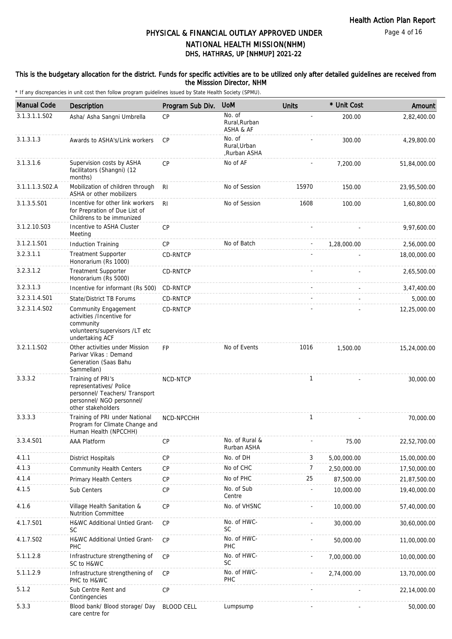### This is the budgetary allocation for the district. Funds for specific activities are to be utilized only after detailed guidelines are received from the Misssion Director, NHM

| <b>Manual Code</b> | Description                                                                                                                       | Program Sub Div.  | <b>UoM</b>                             | <b>Units</b>   | * Unit Cost | Amount       |
|--------------------|-----------------------------------------------------------------------------------------------------------------------------------|-------------------|----------------------------------------|----------------|-------------|--------------|
| 3.1.3.1.1.S02      | Asha/ Asha Sangni Umbrella                                                                                                        | CP                | No. of<br>Rural.Rurban<br>ASHA & AF    |                | 200.00      | 2,82,400.00  |
| 3.1.3.1.3          | Awards to ASHA's/Link workers                                                                                                     | <b>CP</b>         | No. of<br>Rural, Urban<br>,Rurban ASHA |                | 300.00      | 4,29,800.00  |
| 3.1.3.1.6          | Supervision costs by ASHA<br>facilitators (Shangni) (12<br>months)                                                                | <b>CP</b>         | No of AF                               |                | 7,200.00    | 51,84,000.00 |
| 3.1.1.1.3.S02.A    | Mobilization of children through<br>ASHA or other mobilizers                                                                      | R <sub>l</sub>    | No of Session                          | 15970          | 150.00      | 23,95,500.00 |
| 3.1.3.5.S01        | Incentive for other link workers<br>for Prepration of Due List of<br>Childrens to be immunized                                    | RI.               | No of Session                          | 1608           | 100.00      | 1,60,800.00  |
| 3.1.2.10.S03       | Incentive to ASHA Cluster<br>Meeting                                                                                              | CP                |                                        |                |             | 9,97,600.00  |
| 3.1.2.1.S01        | <b>Induction Training</b>                                                                                                         | <b>CP</b>         | No of Batch                            |                | 1,28,000.00 | 2,56,000.00  |
| 3.2.3.1.1          | <b>Treatment Supporter</b><br>Honorarium (Rs 1000)                                                                                | CD-RNTCP          |                                        |                |             | 18,00,000.00 |
| 3.2.3.1.2          | <b>Treatment Supporter</b><br>Honorarium (Rs 5000)                                                                                | CD-RNTCP          |                                        |                |             | 2,65,500.00  |
| 3.2.3.1.3          | Incentive for informant (Rs 500)                                                                                                  | CD-RNTCP          |                                        |                |             | 3,47,400.00  |
| 3.2.3.1.4.S01      | State/District TB Forums                                                                                                          | CD-RNTCP          |                                        |                |             | 5,000.00     |
| 3.2.3.1.4.S02      | <b>Community Engagement</b><br>activities /Incentive for<br>community<br>volunteers/supervisors /LT etc<br>undertaking ACF        | CD-RNTCP          |                                        |                |             | 12,25,000.00 |
| 3.2.1.1.S02        | Other activities under Mission<br>Parivar Vikas: Demand<br>Generation (Saas Bahu<br>Sammellan)                                    | <b>FP</b>         | No of Events                           | 1016           | 1,500.00    | 15,24,000.00 |
| 3.3.3.2            | Training of PRI's<br>representatives/ Police<br>personnel/ Teachers/ Transport<br>personnel/ NGO personnel/<br>other stakeholders | <b>NCD-NTCP</b>   |                                        | $\mathbf{1}$   |             | 30,000.00    |
| 3.3.3.3            | Training of PRI under National<br>Program for Climate Change and<br>Human Health (NPCCHH)                                         | NCD-NPCCHH        |                                        | $\mathbf{1}$   |             | 70,000.00    |
| 3.3.4.S01          | AAA Platform                                                                                                                      | CP                | No. of Rural &<br>Rurban ASHA          |                | 75.00       | 22,52,700.00 |
| 4.1.1              | <b>District Hospitals</b>                                                                                                         | CP                | No. of DH                              | 3              | 5,00,000.00 | 15,00,000.00 |
| 4.1.3              | <b>Community Health Centers</b>                                                                                                   | CP                | No of CHC                              | $\overline{7}$ | 2,50,000.00 | 17,50,000.00 |
| 4.1.4              | Primary Health Centers                                                                                                            | CP                | No of PHC                              | 25             | 87,500.00   | 21,87,500.00 |
| 4.1.5              | Sub Centers                                                                                                                       | CP                | No. of Sub<br>Centre                   |                | 10,000.00   | 19,40,000.00 |
| 4.1.6              | Village Health Sanitation &<br><b>Nutrition Committee</b>                                                                         | CP                | No. of VHSNC                           |                | 10,000.00   | 57,40,000.00 |
| 4.1.7.S01          | H&WC Additional Untied Grant-<br><b>SC</b>                                                                                        | CP                | No. of HWC-<br><b>SC</b>               |                | 30,000.00   | 30,60,000.00 |
| 4.1.7.S02          | H&WC Additional Untied Grant-<br>PHC                                                                                              | <b>CP</b>         | No. of HWC-<br>PHC                     |                | 50,000.00   | 11,00,000.00 |
| 5.1.1.2.8          | Infrastructure strengthening of<br>SC to H&WC                                                                                     | <b>CP</b>         | No. of HWC-<br><b>SC</b>               |                | 7,00,000.00 | 10,00,000.00 |
| 5.1.1.2.9          | Infrastructure strengthening of<br>PHC to H&WC                                                                                    | CP                | No. of HWC-<br>PHC                     |                | 2,74,000.00 | 13,70,000.00 |
| 5.1.2              | Sub Centre Rent and<br>Contingencies                                                                                              | CP                |                                        |                |             | 22,14,000.00 |
| 5.3.3              | Blood bank/ Blood storage/ Day<br>care centre for                                                                                 | <b>BLOOD CELL</b> | Lumpsump                               |                |             | 50,000.00    |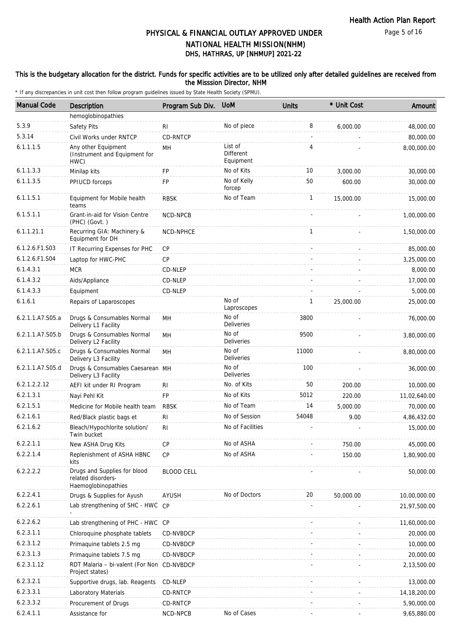### This is the budgetary allocation for the district. Funds for specific activities are to be utilized only after detailed guidelines are received from the Misssion Director, NHM

| <b>Manual Code</b> | Description                                                               | Program Sub Div.  | <b>UoM</b>                        | <b>Units</b> | * Unit Cost | Amount         |
|--------------------|---------------------------------------------------------------------------|-------------------|-----------------------------------|--------------|-------------|----------------|
|                    | hemoglobinopathies                                                        |                   |                                   |              |             |                |
| 5.3.9              | Safety Pits                                                               | RI                | No of piece                       | 8            | 6,000.00    | 48,000.00      |
| 5.3.14             | Civil Works under RNTCP                                                   | CD-RNTCP          |                                   | $\sim$       |             | 80,000.00      |
| 6.1.1.1.5          | Any other Equipment<br>(Instrument and Equipment for<br>HWC)              | MH                | List of<br>Different<br>Equipment | 4            |             | 8,00,000.00    |
| 6.1.1.3.3          | Minilap kits                                                              | FP                | No of Kits                        | 10           | 3,000.00    | 30,000.00      |
| 6.1.1.3.5          | PPIUCD forceps                                                            | FP                | No of Kelly<br>forcep             | 50           | 600.00      | 30,000.00      |
| 6.1.1.5.1          | Equipment for Mobile health<br>teams                                      | <b>RBSK</b>       | No of Team                        | $\mathbf{1}$ | 15,000.00   | 15,000.00      |
| 6.1.5.1.1          | Grant-in-aid for Vision Centre<br>(PHC) (Govt.)                           | NCD-NPCB          |                                   |              |             | 1,00,000.00    |
| 6.1.1.21.1         | Recurring GIA: Machinery &<br>Equipment for DH                            | NCD-NPHCE         |                                   | 1            |             | 1,50,000.00    |
| 6.1.2.6.F1.S03     | IT Recurring Expenses for PHC                                             | <b>CP</b>         |                                   |              |             | 85,000.00      |
| 6.1.2.6.F1.S04     | Laptop for HWC-PHC                                                        | <b>CP</b>         |                                   |              |             | 3,25,000.00    |
| 6.1.4.3.1          | <b>MCR</b>                                                                | CD-NLEP           |                                   |              |             | 8,000.00       |
| 6.1.4.3.2          | Aids/Appliance                                                            | CD-NLEP           |                                   |              |             | 17,000.00      |
| 6.1.4.3.3          | Equipment                                                                 | CD-NLEP           |                                   |              |             | 5,000.00       |
| 6.1.6.1            | Repairs of Laparoscopes                                                   |                   | No of<br>Laproscopes              | 1            | 25,000.00   | 25,000.00      |
| 6.2.1.1.A7.S05.a   | Drugs & Consumables Normal<br>Delivery L1 Facility                        | MН                | No of<br>Deliveries               | 3800         |             | 76,000.00      |
| 6.2.1.1.A7.S05.b   | Drugs & Consumables Normal<br>Delivery L2 Facility                        | MН                | No of<br><b>Deliveries</b>        | 9500         |             | 3,80,000.00    |
| 6.2.1.1.A7.S05.c   | Drugs & Consumables Normal<br>Delivery L3 Facility                        | MH                | No of<br><b>Deliveries</b>        | 11000        |             | 8,80,000.00    |
| 6.2.1.1.A7.S05.d   | Drugs & Consumables Caesarean MH<br>Delivery L3 Facility                  |                   | No of<br><b>Deliveries</b>        | 100          |             | 36,000.00      |
| 6.2.1.2.2.12       | AEFI kit under RI Program                                                 | R <sub>l</sub>    | No. of Kits                       | 50           | 200.00      | 10,000.00      |
| 6.2.1.3.1          | Nayi Pehl Kit                                                             | <b>FP</b>         | No of Kits                        | 5012         | 220.00      | 11,02,640.00   |
| 6.2.1.5.1          | Medicine for Mobile health team                                           | <b>RBSK</b>       | No of Team                        | 14           | 5,000.00    | 70,000.00      |
| 6.2.1.6.1          | Red/Black plastic bags et                                                 | R <sub>l</sub>    | No of Session                     | 54048        | 9.00        | 4,86,432.00    |
| 6.2.1.6.2          | Bleach/Hypochlorite solution/<br>Twin bucket                              | RI                | No of Facilities                  |              |             | 15,000.00      |
| 6.2.2.1.1          | New ASHA Drug Kits                                                        | <b>CP</b>         | No of ASHA                        |              | 750.00      | 45,000.00      |
| 6.2.2.1.4          | Replenishment of ASHA HBNC<br>kits                                        | <b>CP</b>         | No of ASHA                        |              | 150.00      | 1,80,900.00    |
| 6.2.2.2.2          | Drugs and Supplies for blood<br>related disorders-<br>Haemoglobinopathies | <b>BLOOD CELL</b> |                                   |              |             | 50,000.00      |
| 6.2.2.4.1          | Drugs & Supplies for Ayush                                                | <b>AYUSH</b>      | No of Doctors                     | 20           | 50,000.00   | 10,00,000.00   |
| 6.2.2.6.1          | Lab strengthening of SHC - HWC                                            | CP                |                                   |              |             | 21,97,500.00   |
| 6.2.2.6.2          | Lab strengthening of PHC - HWC CP                                         |                   |                                   |              |             | 11,60,000.00   |
| 6.2.3.1.1          | Chloroquine phosphate tablets                                             | CD-NVBDCP         |                                   |              |             | 20,000.00      |
| 6.2.3.1.2          | Primaquine tablets 2.5 mg                                                 | CD-NVBDCP         |                                   |              |             | 10,000.00      |
| 6.2.3.1.3          | Primaquine tablets 7.5 mg                                                 | CD-NVBDCP         |                                   |              |             | 20,000.00      |
| 6.2.3.1.12         | RDT Malaria - bi-valent (For Non<br>Project states)                       | CD-NVBDCP         |                                   |              |             | 2,13,500.00    |
| 6.2.3.2.1          | Supportive drugs, lab. Reagents                                           | CD-NLEP           |                                   |              |             | 13,000.00      |
| 6.2.3.3.1          | Laboratory Materials                                                      | CD-RNTCP          |                                   |              |             | 14, 18, 200.00 |
| 6.2.3.3.2          | Procurement of Drugs                                                      | CD-RNTCP          |                                   |              |             | 5,90,000.00    |
| 6.2.4.1.1          | Assistance for                                                            | NCD-NPCB          | No of Cases                       |              |             | 9,65,880.00    |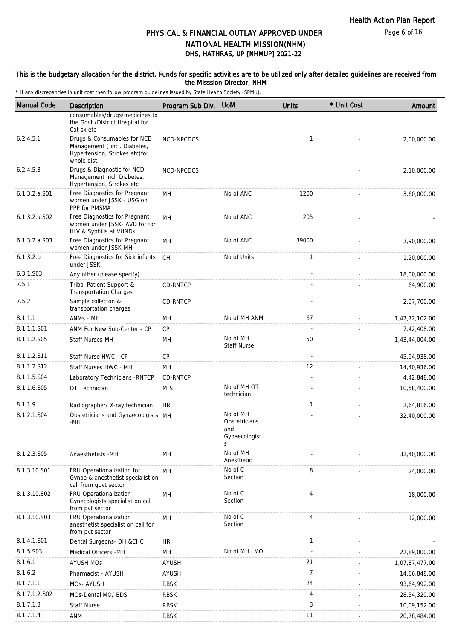Page 6 of 16

# DHS, HATHRAS, UP [NHMUP] 2021-22 PHYSICAL & FINANCIAL OUTLAY APPROVED UNDER NATIONAL HEALTH MISSION(NHM)

#### This is the budgetary allocation for the district. Funds for specific activities are to be utilized only after detailed guidelines are received from the Misssion Director, NHM

| <b>Manual Code</b> | <b>Description</b>                                                                                         | Program Sub Div. UoM |                                                        | <b>Units</b>   | * Unit Cost | Amount         |
|--------------------|------------------------------------------------------------------------------------------------------------|----------------------|--------------------------------------------------------|----------------|-------------|----------------|
|                    | consumables/drugs/medicines to<br>the Govt./District Hospital for<br>Cat sx etc                            |                      |                                                        |                |             |                |
| 6.2.4.5.1          | Drugs & Consumables for NCD<br>Management (incl. Diabetes,<br>Hypertension, Strokes etc)for<br>whole dist. | NCD-NPCDCS           |                                                        | $\mathbf{1}$   |             | 2,00,000.00    |
| 6.2.4.5.3          | Drugs & Diagnostic for NCD<br>Management incl. Diabetes,<br>Hypertension, Strokes etc                      | NCD-NPCDCS           |                                                        |                |             | 2,10,000.00    |
| $6.1.3.2.a.$ S01   | Free Diagnostics for Pregnant<br>women under JSSK - USG on<br>PPP for PMSMA                                | MН                   | No of ANC                                              | 1200           |             | 3,60,000.00    |
| 6.1.3.2.a.S02      | Free Diagnostics for Pregnant<br>women under JSSK- AVD for for<br>HIV & Syphilis at VHNDs                  | MH                   | No of ANC                                              | 205            |             |                |
| $6.1.3.2.a.$ SO3   | Free Diagnostics for Pregnant<br>women under JSSK-MH                                                       | MН                   | No of ANC                                              | 39000          |             | 3,90,000.00    |
| 6.1.3.2.b          | Free Diagnostics for Sick infants<br>under JSSK                                                            | <b>CH</b>            | No of Units                                            | $\mathbf{1}$   |             | 1,20,000.00    |
| 6.3.1.S03          | Any other (please specify)                                                                                 |                      |                                                        |                |             | 18,00,000.00   |
| 7.5.1              | Tribal Patient Support &<br><b>Transportation Charges</b>                                                  | CD-RNTCP             |                                                        |                |             | 64,900.00      |
| 7.5.2              | Sample collecton &<br>transportation charges                                                               | CD-RNTCP             |                                                        |                |             | 2,97,700.00    |
| 8.1.1.1            | ANMs - MH                                                                                                  | MН                   | No of MH ANM                                           | 67             |             | 1,47,72,102.00 |
| 8.1.1.1.S01        | ANM For New Sub-Center - CP                                                                                | <b>CP</b>            |                                                        | $\sim$         |             | 7,42,408.00    |
| 8.1.1.2.S05        | Staff Nurses-MH                                                                                            | MH                   | No of MH<br><b>Staff Nurse</b>                         | 50             |             | 1,43,44,004.00 |
| 8.1.1.2.S11        | Staff Nurse HWC - CP                                                                                       | CP                   |                                                        |                |             | 45,94,938.00   |
| 8.1.1.2.S12        | Staff Nurses HWC - MH                                                                                      | MH                   |                                                        | 12             |             | 14,40,936.00   |
| 8.1.1.5.S04        | Laboratory Technicians - RNTCP                                                                             | CD-RNTCP             |                                                        |                |             | 4,42,848.00    |
| 8.1.1.6.S05        | OT Technician                                                                                              | <b>MIS</b>           | No of MH OT<br>technician                              |                |             | 10,58,400.00   |
| 8.1.1.9            | Radiographer/ X-ray technician                                                                             | <b>HR</b>            |                                                        | $\mathbf{1}$   |             | 2,64,816.00    |
| 8.1.2.1.S04        | Obstetricians and Gynaecologists MH<br>-MH                                                                 |                      | No of MH<br>Obstetricians<br>and<br>Gynaecologist<br>S |                |             | 32,40,000.00   |
| 8.1.2.3.S05        | Anaesthetists -MH                                                                                          | MH                   | No of MH<br>Anesthetic                                 |                |             | 32,40,000.00   |
| 8.1.3.10.S01       | FRU Operationalization for<br>Gynae & anesthetist specialist on<br>call from govt sector                   | MH                   | No of C<br>Section                                     | 8              |             | 24,000.00      |
| 8.1.3.10.S02       | FRU Operationalization<br>Gynecologists specialist on call<br>from pvt sector                              | MH                   | No of C<br>Section                                     | $\overline{4}$ |             | 18,000.00      |
| 8.1.3.10.S03       | FRU Operationalization<br>anesthetist specialist on call for<br>from pvt sector                            | MH                   | No of C<br>Section                                     | 4              |             | 12,000.00      |
| 8.1.4.1.S01        | Dental Surgeons- DH &CHC                                                                                   | HR                   |                                                        | 1              |             |                |
| 8.1.5.S03          | Medical Officers -MH                                                                                       | MH                   | No of MH LMO                                           |                |             | 22,89,000.00   |
| 8.1.6.1            | <b>AYUSH MOS</b>                                                                                           | <b>AYUSH</b>         |                                                        | 21             |             | 1,07,87,477.00 |
| 8.1.6.2            | Pharmacist - AYUSH                                                                                         | <b>AYUSH</b>         |                                                        | $\overline{7}$ |             | 14,66,848.00   |
| 8.1.7.1.1          | MOs- AYUSH                                                                                                 | <b>RBSK</b>          |                                                        | 24             |             | 93,64,992.00   |
| 8.1.7.1.2.S02      | MOs-Dental MO/ BDS                                                                                         | <b>RBSK</b>          |                                                        | 4              |             | 28,54,320.00   |
| 8.1.7.1.3          | <b>Staff Nurse</b>                                                                                         | <b>RBSK</b>          |                                                        | 3              |             | 10,09,152.00   |
| 8.1.7.1.4          | ANM                                                                                                        | <b>RBSK</b>          |                                                        | 11             |             | 20,78,484.00   |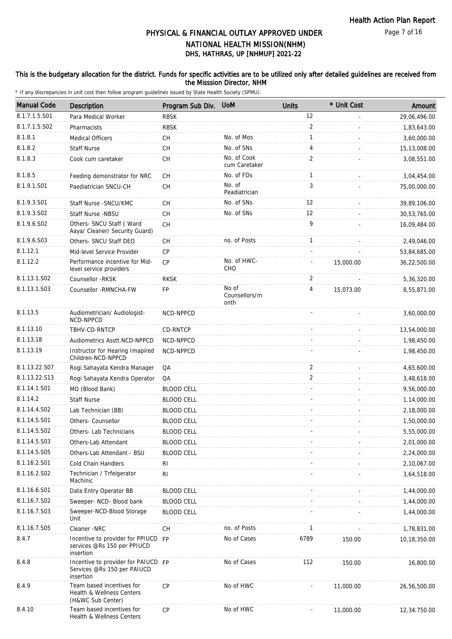### This is the budgetary allocation for the district. Funds for specific activities are to be utilized only after detailed guidelines are received from the Misssion Director, NHM

| <b>Manual Code</b> | Description                                                                     | Program Sub Div.  | <b>UoM</b>                     | <b>Units</b>      | * Unit Cost | Amount       |
|--------------------|---------------------------------------------------------------------------------|-------------------|--------------------------------|-------------------|-------------|--------------|
| 8.1.7.1.5.S01      | Para Medical Worker                                                             | <b>RBSK</b>       |                                | 12                |             | 29,06,496.00 |
| 8.1.7.1.5.S02      | Pharmacists                                                                     | <b>RBSK</b>       |                                | 2                 |             | 1,83,643.00  |
| 8.1.8.1            | <b>Medical Officers</b>                                                         | CH                | No. of Mos                     | 1                 |             | 3,60,000.00  |
| 8.1.8.2            | <b>Staff Nurse</b>                                                              | CH                | No. of SNs                     | 4                 |             | 15,13,008.00 |
| 8.1.8.3            | Cook cum caretaker                                                              | СH                | No. of Cook<br>cum Caretaker   | 2                 |             | 3,08,551.00  |
| 8.1.8.5            | Feeding demonstrator for NRC                                                    | CH                | No. of FDs                     | $\mathbf{1}$      |             | 3,04,454.00  |
| 8.1.9.1.S01        | Paediatrician SNCU-CH                                                           | <b>CH</b>         | No. of<br>Peadiatrician        | 3                 |             | 75,00,000.00 |
| 8.1.9.3.S01        | Staff Nurse - SNCU/KMC                                                          | CH                | No. of SNs                     | $12 \overline{ }$ |             | 39,89,106.00 |
| 8.1.9.3.S02        | Staff Nurse -NBSU                                                               | СH                | No. of SNs                     | 12                |             | 30,53,765.00 |
| 8.1.9.6.SO2        | Others- SNCU Staff (Ward<br>Aaya/ Cleaner/ Security Guard)                      | CH                |                                | 9                 |             | 16,09,484.00 |
| 8.1.9.6.S03        | Others- SNCU Staff DEO                                                          | СH                | no. of Posts                   | 1                 |             | 2,49,046.00  |
| 8.1.12.1           | Mid-level Service Provider                                                      | <b>CP</b>         |                                |                   |             | 53,84,685.00 |
| 8.1.12.2           | Performance incentive for Mid-<br>level service providers                       | CP                | No. of HWC-<br>CHO             |                   | 15,000.00   | 36,22,500.00 |
| 8.1.13.1.S02       | Counsellor - RKSK                                                               | <b>RKSK</b>       |                                | 2                 |             | 5,36,320.00  |
| 8.1.13.1.S03       | Counsellor - RMNCHA-FW                                                          | FP                | No of<br>Counsellors/m<br>onth | 4                 | 15,073.00   | 8,55,871.00  |
| 8.1.13.5           | Audiometrician/ Audiologist-<br>NCD-NPPCD                                       | NCD-NPPCD         |                                |                   |             | 3,60,000.00  |
| 8.1.13.10          | TBHV-CD-RNTCP                                                                   | CD-RNTCP          |                                |                   |             | 13,54,000.00 |
| 8.1.13.18          | Audiometrics Asstt.NCD-NPPCD                                                    | NCD-NPPCD         |                                |                   |             | 1,98,450.00  |
| 8.1.13.19          | Instructor for Hearing Imapired<br>Children-NCD-NPPCD                           | NCD-NPPCD         |                                |                   |             | 1,98,450.00  |
| 8.1.13.22.S07      | Rogi Sahayata Kendra Manager                                                    | QA                |                                | 2                 |             | 4,65,600.00  |
| 8.1.13.22.S13      | Rogi Sahayata Kendra Operator                                                   | QA                |                                | 2                 |             | 3,48,618.00  |
| 8.1.14.1.S01       | MO (Blood Bank)                                                                 | <b>BLOOD CELL</b> |                                |                   |             | 9,56,000.00  |
| 8.1.14.2           | <b>Staff Nurse</b>                                                              | <b>BLOOD CELL</b> |                                |                   |             | 1,14,000.00  |
| 8.1.14.4.S02       | Lab Technician (BB)                                                             | <b>BLOOD CELL</b> |                                |                   |             | 2,18,000.00  |
| 8.1.14.5.S01       | Others- Counsellor                                                              | <b>BLOOD CELL</b> |                                |                   |             | 1,50,000.00  |
| 8.1.14.5.S02       | Others-Lab Technicians                                                          | <b>BLOOD CELL</b> |                                |                   |             | 5,55,000.00  |
| 8.1.14.5.S03       | Others-Lab Attendant                                                            | <b>BLOOD CELL</b> |                                |                   |             | 2,01,000.00  |
| 8.1.14.5.S05       | Others-Lab Attendant - BSU                                                      | <b>BLOOD CELL</b> |                                |                   |             | 2,24,000.00  |
| 8.1.16.2.S01       | Cold Chain Handlers                                                             | RI                |                                |                   |             | 2,10,067.00  |
| 8.1.16.2.S02       | Technician / Trfeigerator<br>Machinic                                           | <b>RI</b>         |                                |                   |             | 3,64,518.00  |
| 8.1.16.6.S01       | Data Entry Operator BB                                                          | <b>BLOOD CELL</b> |                                |                   |             | 1,44,000.00  |
| 8.1.16.7.S02       | Sweeper- NCD- Blood bank                                                        | <b>BLOOD CELL</b> |                                |                   |             | 1,44,000.00  |
| 8.1.16.7.S03       | Sweeper-NCD-Blood Storage<br>Unit                                               | <b>BLOOD CELL</b> |                                |                   |             | 1,44,000.00  |
| 8.1.16.7.S05       | Cleaner -NRC                                                                    | CH                | no. of Posts                   | 1                 |             | 1,78,831.00  |
| 8.4.7              | Incentive to provider for PPIUCD FP<br>services @Rs 150 per PPIUCD<br>insertion |                   | No of Cases                    | 6789              | 150.00      | 10,18,350.00 |
| 8.4.8              | Incentive to provider for PAIUCD FP<br>Services @Rs 150 per PAIUCD<br>insertion |                   | No of Cases                    | 112               | 150.00      | 16,800.00    |
| 8.4.9              | Team based incentives for<br>Health & Wellness Centers<br>(H&WC Sub Center)     | <b>CP</b>         | No of HWC                      |                   | 11,000.00   | 26,56,500.00 |
| 8.4.10             | Team based incentives for<br>Health & Wellness Centers                          | CP                | No of HWC                      |                   | 11,000.00   | 12,34,750.00 |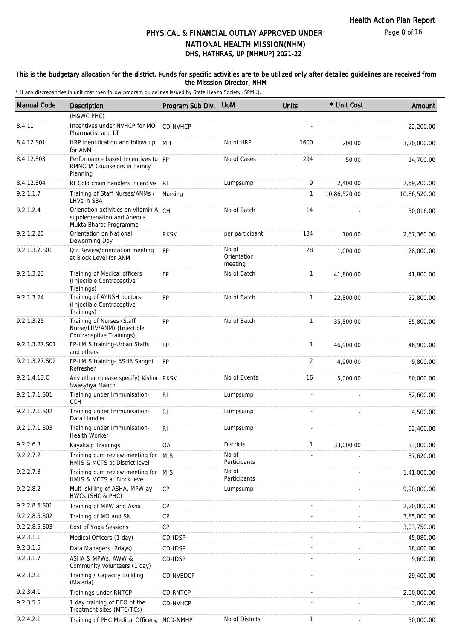#### This is the budgetary allocation for the district. Funds for specific activities are to be utilized only after detailed guidelines are received from the Misssion Director, NHM

| <b>Manual Code</b> | Description                                                                                  | Program Sub Div. | <b>UoM</b>                      | <b>Units</b> | * Unit Cost   | Amount       |
|--------------------|----------------------------------------------------------------------------------------------|------------------|---------------------------------|--------------|---------------|--------------|
|                    | (H&WC PHC)                                                                                   |                  |                                 |              |               |              |
| 8.4.11             | Incentives under NVHCP for MO, CD-NVHCP<br>Pharmacist and LT                                 |                  |                                 |              |               | 22,200.00    |
| 8.4.12.S01         | HRP identification and follow up<br>for ANM                                                  | MН               | No of HRP                       | 1600         | 200.00        | 3,20,000.00  |
| 8.4.12.S03         | Performance based Incentives to FP<br>RMNCHA Counselors in Family<br>Planning                |                  | No of Cases                     | 294          | 50.00         | 14,700.00    |
| 8.4.12.S04         | RI Cold chain handlers incentive                                                             | RI               | Lumpsump                        | 9            | 2,400.00      | 2,59,200.00  |
| 9.2.1.1.7          | Training of Staff Nurses/ANMs /<br>LHVs in SBA                                               | Nursing          |                                 | 1            | 10,86,520.00  | 10,86,520.00 |
| 9.2.1.2.4          | Orienation activities on vitamin A CH<br>supplemenation and Anemia<br>Mukta Bharat Programme |                  | No of Batch                     | 14           |               | 50,016.00    |
| 9.2.1.2.20         | Orientation on National<br>Deworming Day                                                     | <b>RKSK</b>      | per participant                 | 134          | 100.00        | 2,67,360.00  |
| 9.2.1.3.2.S01      | <b>Qtr.Review/orientation meeting</b><br>at Block Level for ANM                              | <b>FP</b>        | No of<br>Orientation<br>meeting | 28           | 1,000.00      | 28,000.00    |
| 9.2.1.3.23         | Training of Medical officers<br>(Injectible Contraceptive<br>Trainings)                      | <b>FP</b>        | No of Batch                     | $\mathbf{1}$ | 41,800.00     | 41,800.00    |
| 9.2.1.3.24         | Training of AYUSH doctors<br>(Injectible Contraceptive<br>Trainings)                         | <b>FP</b>        | No of Batch                     | $\mathbf{1}$ | 22,800.00     | 22,800.00    |
| 9.2.1.3.25         | Training of Nurses (Staff<br>Nurse/LHV/ANM) (Injectible<br>Contraceptive Trainings)          | <b>FP</b>        | No of Batch                     | $\mathbf{1}$ | 35,800.00     | 35,800.00    |
| 9.2.1.3.27.S01     | FP-LMIS training-Urban Staffs<br>and others                                                  | FP               |                                 | $\mathbf{1}$ | 46,900.00     | 46,900.00    |
| 9.2.1.3.27.S02     | FP-LMIS training- ASHA Sangni<br>Refresher                                                   | <b>FP</b>        |                                 | 2            | 4,900.00      | 9,800.00     |
| 9.2.1.4.13.C       | Any other (please specify) Kishor RKSK<br>Swasyhya Manch                                     |                  | No of Events                    | 16           | 5,000.00      | 80,000.00    |
| 9.2.1.7.1.S01      | Training under Immunisation-<br><b>CCH</b>                                                   | R <sub>l</sub>   | Lumpsump                        |              |               | 32,600.00    |
| 9.2.1.7.1.S02      | Training under Immunisation-<br>Data Handler                                                 | RI               | Lumpsump                        |              |               | 4,500.00     |
| 9.2.1.7.1.S03      | Training under Immunisation-<br>Health Worker                                                | RI               | Lumpsump                        |              |               | 92,400.00    |
| 9.2.2.6.3          | Kayakalp Trainings                                                                           | QA               | <b>Districts</b>                | $\mathbf{1}$ | 33,000.00     | 33,000.00    |
| 9.2.2.7.2          | Training cum review meeting for<br>HMIS & MCTS at District level                             | <b>MIS</b>       | No of<br>Participants           |              |               | 37,620.00    |
| 9.2.2.7.3          | Training cum review meeting for MIS<br>HMIS & MCTS at Block level                            |                  | No of<br>Participants           |              |               | 1,41,000.00  |
| 9.2.2.8.2          | Multi-skilling of ASHA, MPW ay<br>HWCs (SHC & PHC)                                           | <b>CP</b>        | Lumpsump                        |              |               | 9,90,000.00  |
| 9.2.2.8.5.S01      | Training of MPW and Asha                                                                     | CP               |                                 |              |               | 2,20,000.00  |
| 9.2.2.8.5.S02      | Training of MO and SN                                                                        | <b>CP</b>        |                                 |              |               | 3,85,000.00  |
| 9.2.2.8.5.S03      | Cost of Yoga Sessions                                                                        | CP               |                                 |              |               | 3,03,750.00  |
| 9.2.3.1.1          | Medical Officers (1 day)                                                                     | CD-IDSP          |                                 |              |               | 45,080.00    |
| 9.2.3.1.5          | Data Managers (2days)                                                                        | CD-IDSP          |                                 |              |               | 18,400.00    |
| 9.2.3.1.7          | ASHA & MPWs, AWW &<br>Community volunteers (1 day)                                           | CD-IDSP          |                                 |              |               | 9,600.00     |
| 9.2.3.2.1          | Training / Capacity Building<br>(Malaria)                                                    | CD-NVBDCP        |                                 |              |               | 29,400.00    |
| 9.2.3.4.1          | Trainings under RNTCP                                                                        | CD-RNTCP         |                                 |              |               | 2,00,000.00  |
| 9.2.3.5.5          | 1 day training of DEO of the<br>Treatment sites (MTC/TCs)                                    | CD-NVHCP         |                                 |              |               | 3,000.00     |
| 9.2.4.2.1          | Training of PHC Medical Officers,                                                            | NCD-NMHP         | No of Distrcts                  | $\mathbf{1}$ | $\frac{1}{2}$ | 50,000.00    |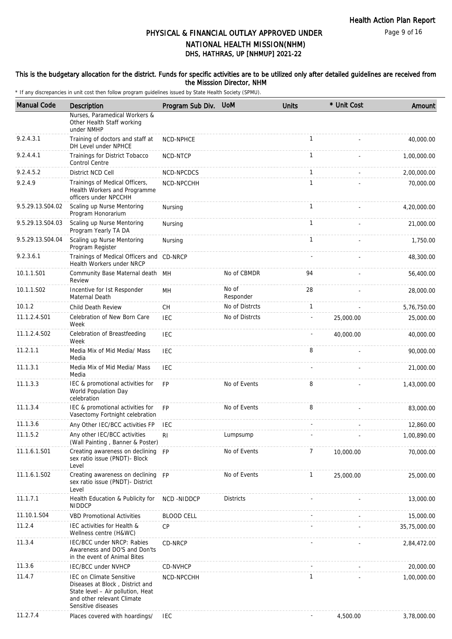#### This is the budgetary allocation for the district. Funds for specific activities are to be utilized only after detailed guidelines are received from the Misssion Director, NHM

| <b>Manual Code</b> | Description                                                                                                                                                 | Program Sub Div.  | <b>UoM</b>         | <b>Units</b> | * Unit Cost | Amount       |
|--------------------|-------------------------------------------------------------------------------------------------------------------------------------------------------------|-------------------|--------------------|--------------|-------------|--------------|
|                    | Nurses, Paramedical Workers &<br>Other Health Staff working<br>under NMHP                                                                                   |                   |                    |              |             |              |
| 9.2.4.3.1          | Training of doctors and staff at<br>DH Level under NPHCE                                                                                                    | NCD-NPHCE         |                    | $\mathbf{1}$ |             | 40,000.00    |
| 9.2.4.4.1          | Trainings for District Tobacco<br><b>Control Centre</b>                                                                                                     | NCD-NTCP          |                    | $\mathbf{1}$ |             | 1,00,000.00  |
| 9.2.4.5.2          | District NCD Cell                                                                                                                                           | NCD-NPCDCS        |                    | $\mathbf{1}$ |             | 2,00,000.00  |
| 9.2.4.9            | Trainings of Medical Officers,<br>Health Workers and Programme<br>officers under NPCCHH                                                                     | NCD-NPCCHH        |                    | $\mathbf{1}$ |             | 70,000.00    |
| 9.5.29.13.S04.02   | Scaling up Nurse Mentoring<br>Program Honorarium                                                                                                            | Nursing           |                    | $\mathbf{1}$ |             | 4,20,000.00  |
| 9.5.29.13.S04.03   | Scaling up Nurse Mentoring<br>Program Yearly TA DA                                                                                                          | Nursing           |                    | $\mathbf{1}$ |             | 21,000.00    |
| 9.5.29.13.S04.04   | Scaling up Nurse Mentoring<br>Program Register                                                                                                              | Nursing           |                    | $\mathbf{1}$ |             | 1,750.00     |
| 9.2.3.6.1          | Trainings of Medical Officers and CD-NRCP<br>Health Workers under NRCP                                                                                      |                   |                    |              |             | 48,300.00    |
| 10.1.1.S01         | Community Base Maternal death MH<br>Review                                                                                                                  |                   | No of CBMDR        | 94           |             | 56,400.00    |
| 10.1.1.S02         | Incentive for Ist Responder<br>Maternal Death                                                                                                               | MH                | No of<br>Responder | 28           |             | 28,000.00    |
| 10.1.2             | <b>Child Death Review</b>                                                                                                                                   | <b>CH</b>         | No of Distrcts     | $\mathbf{1}$ |             | 5,76,750.00  |
| 11.1.2.4.S01       | Celebration of New Born Care<br>Week                                                                                                                        | <b>IEC</b>        | No of Distrcts     |              | 25,000.00   | 25,000.00    |
| 11.1.2.4.S02       | Celebration of Breastfeeding<br>Week                                                                                                                        | <b>IEC</b>        |                    |              | 40,000.00   | 40,000.00    |
| 11.2.1.1           | Media Mix of Mid Media/ Mass<br>Media                                                                                                                       | IEC               |                    | 8            |             | 90,000.00    |
| 11.1.3.1           | Media Mix of Mid Media/ Mass<br>Media                                                                                                                       | <b>IEC</b>        |                    |              |             | 21,000.00    |
| 11.1.3.3           | IEC & promotional activities for<br>World Population Day<br>celebration                                                                                     | <b>FP</b>         | No of Events       | 8            |             | 1,43,000.00  |
| 11.1.3.4           | IEC & promotional activities for<br>Vasectomy Fortnight celebration                                                                                         | <b>FP</b>         | No of Events       | 8            |             | 83,000.00    |
| 11.1.3.6           | Any Other IEC/BCC activities FP                                                                                                                             | IEC               |                    |              |             | 12,860.00    |
| 11.1.5.2           | Any other IEC/BCC activities<br>(Wall Painting, Banner & Poster)                                                                                            | RI                | Lumpsump           |              |             | 1,00,890.00  |
| 11.1.6.1.S01       | Creating awareness on declining FP<br>sex ratio issue (PNDT)- Block<br>Level                                                                                |                   | No of Events       | 7            | 10,000.00   | 70,000.00    |
| 11.1.6.1.S02       | Creating awareness on declining FP<br>sex ratio issue (PNDT) - District<br>Level                                                                            |                   | No of Events       | $\mathbf{1}$ | 25,000.00   | 25,000.00    |
| 11.1.7.1           | Health Education & Publicity for<br>NIDDCP                                                                                                                  | NCD -NIDDCP       | <b>Districts</b>   |              |             | 13,000.00    |
| 11.10.1.S04        | <b>VBD Promotional Activities</b>                                                                                                                           | <b>BLOOD CELL</b> |                    |              |             | 15,000.00    |
| 11.2.4             | IEC activities for Health &<br>Wellness centre (H&WC)                                                                                                       | <b>CP</b>         |                    |              |             | 35,75,000.00 |
| 11.3.4             | IEC/BCC under NRCP: Rabies<br>Awareness and DO'S and Don'ts<br>in the event of Animal Bites                                                                 | CD-NRCP           |                    |              |             | 2,84,472.00  |
| 11.3.6             | <b>IEC/BCC under NVHCP</b>                                                                                                                                  | CD-NVHCP          |                    |              |             | 20,000.00    |
| 11.4.7             | <b>IEC on Climate Sensitive</b><br>Diseases at Block, District and<br>State level - Air pollution, Heat<br>and other relevant Climate<br>Sensitive diseases | NCD-NPCCHH        |                    | $\mathbf{1}$ |             | 1,00,000.00  |
| 11.2.7.4           | Places covered with hoardings/                                                                                                                              | IEC               |                    |              | 4,500.00    | 3,78,000.00  |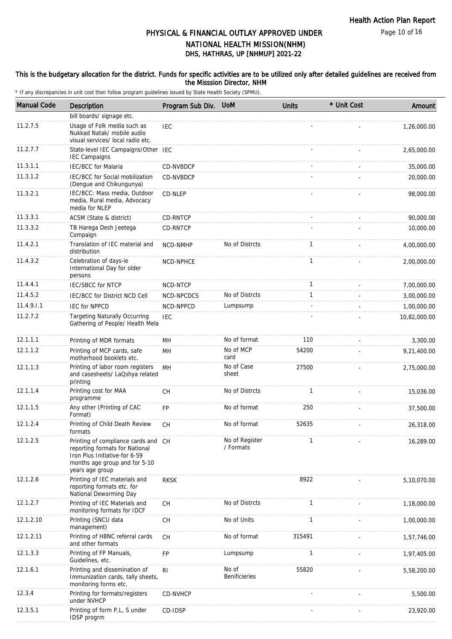Page 10 of 16

## DHS, HATHRAS, UP [NHMUP] 2021-22 PHYSICAL & FINANCIAL OUTLAY APPROVED UNDER NATIONAL HEALTH MISSION(NHM)

#### This is the budgetary allocation for the district. Funds for specific activities are to be utilized only after detailed guidelines are received from the Misssion Director, NHM

| <b>Manual Code</b> | Description                                                                                                                                                | Program Sub Div. UoM |                               | <b>Units</b> | * Unit Cost | Amount       |
|--------------------|------------------------------------------------------------------------------------------------------------------------------------------------------------|----------------------|-------------------------------|--------------|-------------|--------------|
|                    | bill boards/ signage etc.                                                                                                                                  |                      |                               |              |             |              |
| 11.2.7.5           | Usage of Folk media such as<br>Nukkad Natak/ mobile audio<br>visual services/ local radio etc.                                                             | <b>IEC</b>           |                               |              |             | 1,26,000.00  |
| 11.2.7.7           | State-level IEC Campaigns/Other IEC<br><b>IEC Campaigns</b>                                                                                                |                      |                               |              |             | 2,65,000.00  |
| 11.3.1.1           | <b>IEC/BCC</b> for Malaria                                                                                                                                 | CD-NVBDCP            |                               |              |             | 35,000.00    |
| 11.3.1.2           | IEC/BCC for Social mobilization<br>(Dengue and Chikungunya)                                                                                                | CD-NVBDCP            |                               |              |             | 20,000.00    |
| 11.3.2.1           | IEC/BCC: Mass media, Outdoor<br>media, Rural media, Advocacy<br>media for NLEP                                                                             | CD-NLEP              |                               |              |             | 98,000.00    |
| 11.3.3.1           | ACSM (State & district)                                                                                                                                    | CD-RNTCP             |                               |              |             | 90,000.00    |
| 11.3.3.2           | TB Harega Desh Jeetega<br>Compaign                                                                                                                         | CD-RNTCP             |                               |              |             | 10,000.00    |
| 11.4.2.1           | Translation of IEC material and<br>distribution                                                                                                            | NCD-NMHP             | No of Distrcts                | $\mathbf{1}$ |             | 4,00,000.00  |
| 11.4.3.2           | Celebration of days-ie<br>International Day for older<br>persons                                                                                           | NCD-NPHCE            |                               | $\mathbf{1}$ |             | 2,00,000.00  |
| 11.4.4.1           | <b>IEC/SBCC for NTCP</b>                                                                                                                                   | NCD-NTCP             |                               | 1            |             | 7,00,000.00  |
| 11.4.5.2           | IEC/BCC for District NCD Cell                                                                                                                              | NCD-NPCDCS           | No of Distrcts                | $\mathbf{1}$ |             | 3,00,000.00  |
| 11.4.9.1.1         | <b>IEC for NPPCD</b>                                                                                                                                       | NCD-NPPCD            | Lumpsump                      |              |             | 1,00,000.00  |
| 11.2.7.2           | <b>Targeting Naturally Occurring</b><br>Gathering of People/ Health Mela                                                                                   | <b>IEC</b>           |                               |              |             | 10,82,000.00 |
| 12.1.1.1           | Printing of MDR formats                                                                                                                                    | MН                   | No of format                  | 110          |             | 3,300.00     |
| 12.1.1.2           | Printing of MCP cards, safe<br>motherhood booklets etc.                                                                                                    | MH                   | No of MCP<br>card             | 54200        |             | 9,21,400.00  |
| 12.1.1.3           | Printing of labor room registers<br>and casesheets/ LaQshya related<br>printing                                                                            | MH                   | No of Case<br>sheet           | 27500        |             | 2,75,000.00  |
| 12.1.1.4           | Printing cost for MAA<br>programme                                                                                                                         | СH                   | No of Distrcts                | $\mathbf{1}$ |             | 15,036.00    |
| 12.1.1.5           | Any other (Printing of CAC<br>Format)                                                                                                                      | FP                   | No of format                  | 250          |             | 37,500.00    |
| 12.1.2.4           | Printing of Child Death Review<br>formats                                                                                                                  | CH                   | No of format                  | 52635        |             | 26,318.00    |
| 12.1.2.5           | Printing of compliance cards and CH<br>reporting formats for National<br>Iron Plus Initiative-for 6-59<br>months age group and for 5-10<br>years age group |                      | No of Register<br>/ Formats   | $\mathbf{1}$ |             | 16,289.00    |
| 12.1.2.6           | Printing of IEC materials and<br>reporting formats etc. for<br>National Deworming Day                                                                      | <b>RKSK</b>          |                               | 8922         |             | 5,10,070.00  |
| 12.1.2.7           | Printing of IEC Materials and<br>monitoring formats for IDCF                                                                                               | CH                   | No of Distrcts                | $\mathbf{1}$ |             | 1,18,000.00  |
| 12.1.2.10          | Printing (SNCU data<br>management)                                                                                                                         | CH                   | No of Units                   | 1            |             | 1,00,000.00  |
| 12.1.2.11          | Printing of HBNC referral cards<br>and other formats                                                                                                       | СH                   | No of format                  | 315491       |             | 1,57,746.00  |
| 12.1.3.3           | Printing of FP Manuals,<br>Guidelines, etc.                                                                                                                | FP                   | Lumpsump                      | $\mathbf{1}$ |             | 1,97,405.00  |
| 12.1.6.1           | Printing and dissemination of<br>Immunization cards, tally sheets,<br>monitoring forms etc.                                                                | R <sub>1</sub>       | No of<br><b>Benificieries</b> | 55820        |             | 5,58,200.00  |
| 12.3.4             | Printing for formats/registers<br>under NVHCP                                                                                                              | CD-NVHCP             |                               |              |             | 5,500.00     |
| 12.3.5.1           | Printing of form P,L, S under<br>IDSP progrm                                                                                                               | CD-IDSP              |                               |              |             | 23,920.00    |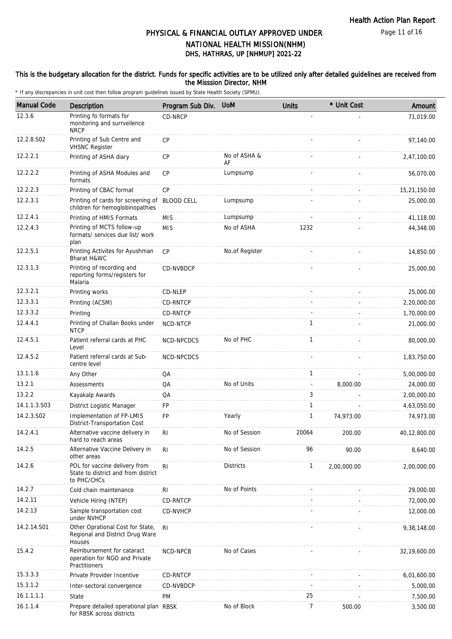Page 11 of 16

## DHS, HATHRAS, UP [NHMUP] 2021-22 PHYSICAL & FINANCIAL OUTLAY APPROVED UNDER NATIONAL HEALTH MISSION(NHM)

### This is the budgetary allocation for the district. Funds for specific activities are to be utilized only after detailed guidelines are received from the Misssion Director, NHM

| <b>Manual Code</b> | <b>Description</b>                                                                  | Program Sub Div.  | <b>UoM</b>         | <b>Units</b>             | * Unit Cost | Amount       |
|--------------------|-------------------------------------------------------------------------------------|-------------------|--------------------|--------------------------|-------------|--------------|
| 12.3.6             | Printing fo formats for<br>monitoring and surrveilence<br><b>NRCP</b>               | CD-NRCP           |                    |                          |             | 71,019.00    |
| 12.2.8.S02         | Printing of Sub Centre and<br><b>VHSNC Register</b>                                 | <b>CP</b>         |                    |                          |             | 97,140.00    |
| 12.2.2.1           | Printing of ASHA diary                                                              | <b>CP</b>         | No of ASHA &<br>AF |                          |             | 2,47,100.00  |
| 12.2.2.2           | Printing of ASHA Modules and<br>formats                                             | CP                | Lumpsump           |                          |             | 56,070.00    |
| 12.2.2.3           | Printing of CBAC format                                                             | CP                |                    |                          |             | 15,21,150.00 |
| 12.2.3.1           | Printing of cards for screening of<br>children for hemoglobinopathies               | <b>BLOOD CELL</b> | Lumpsump           |                          |             | 25,000.00    |
| 12.2.4.1           | Printing of HMIS Formats                                                            | <b>MIS</b>        | Lumpsump           |                          |             | 41,118.00    |
| 12.2.4.3           | Printing of MCTS follow-up<br>formats/ services due list/ work<br>plan              | <b>MIS</b>        | No of ASHA         | 1232                     |             | 44,348.00    |
| 12.2.5.1           | Printing Activites for Ayushman<br>Bharat H&WC                                      | CP                | No.of Register     |                          |             | 14,850.00    |
| 12.3.1.3           | Printing of recording and<br>reporting forms/registers for<br>Malaria               | CD-NVBDCP         |                    |                          |             | 25,000.00    |
| 12.3.2.1           | Printing works                                                                      | CD-NLEP           |                    |                          |             | 25,000.00    |
| 12.3.3.1           | Printing (ACSM)                                                                     | <b>CD-RNTCP</b>   |                    |                          |             | 2,20,000.00  |
| 12.3.3.2           | Printing                                                                            | CD-RNTCP          |                    |                          |             | 1,70,000.00  |
| 12.4.4.1           | Printing of Challan Books under<br><b>NTCP</b>                                      | NCD-NTCP          |                    | $\mathbf{1}$             |             | 21,000.00    |
| 12.4.5.1           | Patient referral cards at PHC<br>Level                                              | NCD-NPCDCS        | No of PHC          | $\mathbf{1}$             |             | 80,000.00    |
| 12.4.5.2           | Patient referral cards at Sub-<br>centre level                                      | NCD-NPCDCS        |                    |                          |             | 1,83,750.00  |
| 13.1.1.6           | Any Other                                                                           | QA                |                    | $\mathbf{1}$             |             | 5,00,000.00  |
| 13.2.1             | Assessments                                                                         | QA                | No of Units        | $\overline{\phantom{a}}$ | 8,000.00    | 24,000.00    |
| 13.2.2             | Kayakalp Awards                                                                     | QA                |                    | 3                        |             | 2,00,000.00  |
| 14.1.1.3.S03       | District Logistic Manager                                                           | FP                |                    | $\mathbf{1}$             |             | 4,63,050.00  |
| 14.2.3.S02         | Implementation of FP-LMIS<br>District-Transportation Cost                           | FP                | Yearly             | $\mathbf{1}$             | 74,973.00   | 74,973.00    |
| 14.2.4.1           | Alternative vaccine delivery in<br>hard to reach areas                              | R <sub>l</sub>    | No of Session      | 20064                    | 200.00      | 40.12.800.00 |
| 14.2.5             | Alternative Vaccine Delivery in<br>other areas                                      | R <sub>l</sub>    | No of Session      | 96                       | 90.00       | 8,640.00     |
| 14.2.6             | POL for vaccine delivery from<br>State to district and from district<br>to PHC/CHCs | R <sub>l</sub>    | <b>Districts</b>   | $\mathbf{1}$             | 2,00,000.00 | 2,00,000.00  |
| 14.2.7             | Cold chain maintenance                                                              | RI                | No of Points       |                          |             | 29,000.00    |
| 14.2.11            | Vehicle Hiring (NTEP)                                                               | CD-RNTCP          |                    |                          |             | 72,000.00    |
| 14.2.13            | Sample transportation cost<br>under NVHCP                                           | CD-NVHCP          |                    |                          |             | 12,000.00    |
| 14.2.14.S01        | Other Oprational Cost for State,<br>Regional and District Drug Ware<br>Houses       | R <sub>l</sub>    |                    |                          |             | 9,38,148.00  |
| 15.4.2             | Reimbursement for cataract<br>operation for NGO and Private<br>Practitioners        | NCD-NPCB          | No of Cases        |                          |             | 32,19,600.00 |
| 15.3.3.3           | Private Provider Incentive                                                          | CD-RNTCP          |                    |                          |             | 6,01,600.00  |
| 15.3.1.2           | Inter-sectoral convergence                                                          | CD-NVBDCP         |                    |                          |             | 5,000.00     |
| 16.1.1.1.1         | State                                                                               | PM                |                    | 25                       |             | 7,500.00     |
| 16.1.1.4           | Prepare detailed operational plan RBSK<br>for RBSK across districts                 |                   | No of Block        | $\overline{7}$           | 500.00      | 3,500.00     |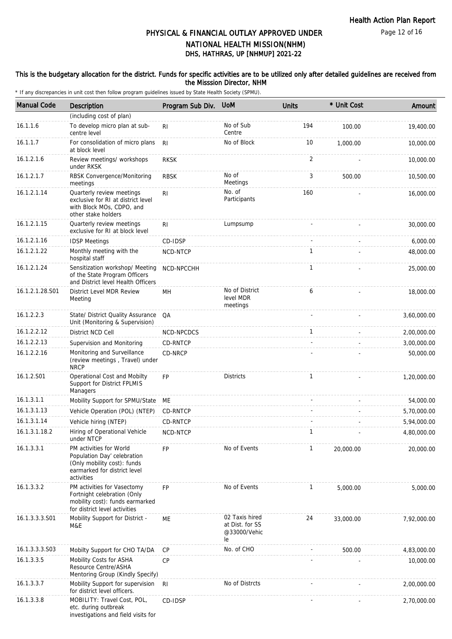### This is the budgetary allocation for the district. Funds for specific activities are to be utilized only after detailed guidelines are received from the Misssion Director, NHM

| <b>Manual Code</b> | Description                                                                                                                         | Program Sub Div. | <b>UoM</b>                                              | <b>Units</b> | * Unit Cost | Amount      |
|--------------------|-------------------------------------------------------------------------------------------------------------------------------------|------------------|---------------------------------------------------------|--------------|-------------|-------------|
|                    | (including cost of plan)                                                                                                            |                  |                                                         |              |             |             |
| 16.1.1.6           | To develop micro plan at sub-<br>centre level                                                                                       | R <sub>1</sub>   | No of Sub<br>Centre                                     | 194          | 100.00      | 19,400.00   |
| 16.1.1.7           | For consolidation of micro plans<br>at block level                                                                                  | R <sub>l</sub>   | No of Block                                             | 10           | 1,000.00    | 10,000.00   |
| 16.1.2.1.6         | Review meetings/ workshops<br>under RKSK                                                                                            | <b>RKSK</b>      |                                                         | 2            |             | 10,000.00   |
| 16.1.2.1.7         | RBSK Convergence/Monitoring<br>meetings                                                                                             | <b>RBSK</b>      | No of<br>Meetings                                       | 3            | 500.00      | 10,500.00   |
| 16.1.2.1.14        | Quarterly review meetings<br>exclusive for RI at district level<br>with Block MOs, CDPO, and<br>other stake holders                 | R <sub>1</sub>   | No. of<br>Participants                                  | 160          |             | 16,000.00   |
| 16.1.2.1.15        | Quarterly review meetings<br>exclusive for RI at block level                                                                        | R <sub>1</sub>   | Lumpsump                                                |              |             | 30,000.00   |
| 16.1.2.1.16        | <b>IDSP Meetings</b>                                                                                                                | CD-IDSP          |                                                         |              |             | 6,000.00    |
| 16.1.2.1.22        | Monthly meeting with the<br>hospital staff                                                                                          | NCD-NTCP         |                                                         | $\mathbf{1}$ |             | 48,000.00   |
| 16.1.2.1.24        | Sensitization workshop/ Meeting<br>of the State Program Officers<br>and District level Health Officers                              | NCD-NPCCHH       |                                                         | $\mathbf{1}$ |             | 25,000.00   |
| 16.1.2.1.28.S01    | District Level MDR Review<br>Meeting                                                                                                | MН               | No of District<br>level MDR<br>meetings                 | 6            |             | 18,000.00   |
| 16.1.2.2.3         | State/ District Quality Assurance<br>Unit (Monitoring & Supervision)                                                                | QA               |                                                         |              |             | 3,60,000.00 |
| 16.1.2.2.12        | District NCD Cell                                                                                                                   | NCD-NPCDCS       |                                                         | $\mathbf{1}$ |             | 2,00,000.00 |
| 16.1.2.2.13        | Supervision and Monitoring                                                                                                          | CD-RNTCP         |                                                         |              |             | 3,00,000.00 |
| 16.1.2.2.16        | Monitoring and Surveillance<br>(review meetings, Travel) under<br><b>NRCP</b>                                                       | CD-NRCP          |                                                         |              |             | 50,000.00   |
| 16.1.2.S01         | Operational Cost and Mobilty<br>Support for District FPLMIS<br>Managers                                                             | <b>FP</b>        | <b>Districts</b>                                        | $\mathbf{1}$ |             | 1,20,000.00 |
| 16.1.3.1.1         | Mobility Support for SPMU/State                                                                                                     | МE               |                                                         |              |             | 54,000.00   |
| 16.1.3.1.13        | Vehicle Operation (POL) (NTEP)                                                                                                      | CD-RNTCP         |                                                         |              |             | 5,70,000.00 |
| 16.1.3.1.14        | Vehicle hiring (NTEP)                                                                                                               | <b>CD-RNTCP</b>  |                                                         |              |             | 5,94,000.00 |
| 16.1.3.1.18.2      | Hiring of Operational Vehicle<br>under NTCP                                                                                         | NCD-NTCP         |                                                         | 1            |             | 4,80,000.00 |
| 16.1.3.3.1         | PM activities for World<br>Population Day' celebration<br>(Only mobility cost): funds<br>earmarked for district level<br>activities | <b>FP</b>        | No of Events                                            | $\mathbf{1}$ | 20,000.00   | 20,000.00   |
| 16.1.3.3.2         | PM activities for Vasectomy<br>Fortnight celebration (Only<br>mobility cost): funds earmarked<br>for district level activities      | <b>FP</b>        | No of Events                                            | $\mathbf{1}$ | 5,000.00    | 5,000.00    |
| 16.1.3.3.3.S01     | Mobility Support for District -<br>M&E                                                                                              | ME               | 02 Taxis hired<br>at Dist. for SS<br>@33000/Vehic<br>le | 24           | 33,000.00   | 7,92,000.00 |
| 16.1.3.3.3.S03     | Mobilty Support for CHO TA/DA                                                                                                       | CP               | No. of CHO                                              |              | 500.00      | 4,83,000.00 |
| 16.1.3.3.5         | Mobility Costs for ASHA<br>Resource Centre/ASHA<br>Mentoring Group (Kindly Specify)                                                 | <b>CP</b>        |                                                         |              |             | 10,000.00   |
| 16.1.3.3.7         | Mobility Support for supervision<br>for district level officers.                                                                    | R <sub>l</sub>   | No of Distrcts                                          |              |             | 2,00,000.00 |
| 16.1.3.3.8         | MOBILITY: Travel Cost, POL,<br>etc. during outbreak<br>investigations and field visits for                                          | CD-IDSP          |                                                         |              |             | 2,70,000.00 |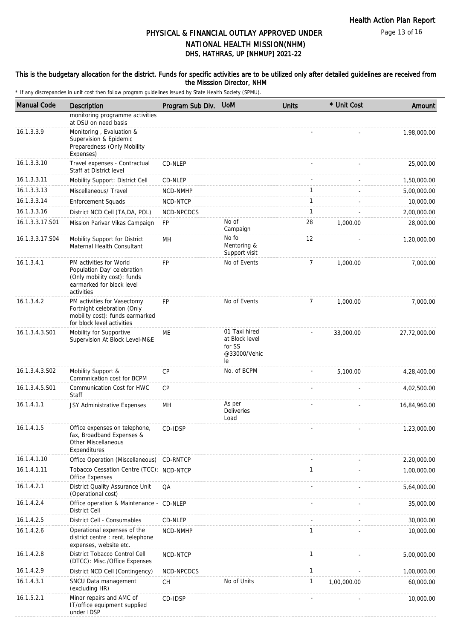Page 13 of 16

## DHS, HATHRAS, UP [NHMUP] 2021-22 PHYSICAL & FINANCIAL OUTLAY APPROVED UNDER NATIONAL HEALTH MISSION(NHM)

#### This is the budgetary allocation for the district. Funds for specific activities are to be utilized only after detailed guidelines are received from the Misssion Director, NHM

| <b>Manual Code</b> | <b>Description</b>                                                                                                               | Program Sub Div. | <b>UoM</b>                                                      | <b>Units</b>   | * Unit Cost | Amount       |
|--------------------|----------------------------------------------------------------------------------------------------------------------------------|------------------|-----------------------------------------------------------------|----------------|-------------|--------------|
|                    | monitoring programme activities<br>at DSU on need basis                                                                          |                  |                                                                 |                |             |              |
| 16.1.3.3.9         | Monitoring, Evaluation &<br>Supervision & Epidemic<br>Preparedness (Only Mobility<br>Expenses)                                   |                  |                                                                 |                |             | 1,98,000.00  |
| 16.1.3.3.10        | Travel expenses - Contractual<br>Staff at District level                                                                         | CD-NLEP          |                                                                 |                |             | 25,000.00    |
| 16.1.3.3.11        | Mobility Support: District Cell                                                                                                  | CD-NLEP          |                                                                 |                |             | 1,50,000.00  |
| 16.1.3.3.13        | Miscellaneous/ Travel                                                                                                            | NCD-NMHP         |                                                                 | 1              |             | 5,00,000.00  |
| 16.1.3.3.14        | <b>Enforcement Squads</b>                                                                                                        | NCD-NTCP         |                                                                 | $\mathbf{1}$   |             | 10,000.00    |
| 16.1.3.3.16        | District NCD Cell (TA, DA, POL)                                                                                                  | NCD-NPCDCS       |                                                                 | $\mathbf{1}$   |             | 2,00,000.00  |
| 16.1.3.3.17.S01    | Mission Parivar Vikas Campaign                                                                                                   | <b>FP</b>        | No of<br>Campaign                                               | 28             | 1,000.00    | 28,000.00    |
| 16.1.3.3.17.S04    | Mobility Support for District<br>Maternal Health Consultant                                                                      | MН               | No fo<br>Mentoring &<br>Support visit                           | 12             |             | 1,20,000.00  |
| 16.1.3.4.1         | PM activities for World<br>Population Day' celebration<br>(Only mobility cost): funds<br>earmarked for block level<br>activities | <b>FP</b>        | No of Events                                                    | $\overline{7}$ | 1,000.00    | 7,000.00     |
| 16.1.3.4.2         | PM activities for Vasectomy<br>Fortnight celebration (Only<br>mobility cost): funds earmarked<br>for block level activities      | <b>FP</b>        | No of Events                                                    | $\overline{7}$ | 1,000.00    | 7,000.00     |
| 16.1.3.4.3.S01     | Mobility for Supportive<br>Supervision At Block Level-M&E                                                                        | ME               | 01 Taxi hired<br>at Block level<br>for SS<br>@33000/Vehic<br>le |                | 33,000.00   | 27,72,000.00 |
| 16.1.3.4.3.S02     | Mobility Support &<br>Commnication cost for BCPM                                                                                 | CP               | No. of BCPM                                                     |                | 5,100.00    | 4,28,400.00  |
| 16.1.3.4.5.S01     | Communication Cost for HWC<br>Staff                                                                                              | CP               |                                                                 |                |             | 4,02,500.00  |
| 16.1.4.1.1         | JSY Administrative Expenses                                                                                                      | MН               | As per<br><b>Deliveries</b><br>Load                             |                |             | 16,84,960.00 |
| 16.1.4.1.5         | Office expenses on telephone,<br>fax, Broadband Expenses &<br>Other Miscellaneous<br>Expenditures                                | CD-IDSP          |                                                                 |                |             | 1,23,000.00  |
| 16.1.4.1.10        | Office Operation (Miscellaneous) CD-RNTCP                                                                                        |                  |                                                                 |                |             | 2,20,000.00  |
| 16.1.4.1.11        | Tobacco Cessation Centre (TCC): NCD-NTCP<br>Office Expenses                                                                      |                  |                                                                 | $\mathbf{1}$   |             | 1,00,000.00  |
| 16.1.4.2.1         | District Quality Assurance Unit<br>(Operational cost)                                                                            | QA               |                                                                 |                |             | 5,64,000.00  |
| 16.1.4.2.4         | Office operation & Maintenance - CD-NLEP<br><b>District Cell</b>                                                                 |                  |                                                                 |                |             | 35,000.00    |
| 16.1.4.2.5         | District Cell - Consumables                                                                                                      | CD-NLEP          |                                                                 |                |             | 30,000.00    |
| 16.1.4.2.6         | Operational expenses of the<br>district centre: rent, telephone<br>expenses, website etc.                                        | NCD-NMHP         |                                                                 | $\mathbf{1}$   |             | 10,000.00    |
| 16.1.4.2.8         | District Tobacco Control Cell<br>(DTCC): Misc./Office Expenses                                                                   | NCD-NTCP         |                                                                 | $\mathbf{1}$   |             | 5,00,000.00  |
| 16.1.4.2.9         | District NCD Cell (Contingency)                                                                                                  | NCD-NPCDCS       |                                                                 | $\mathbf{1}$   |             | 1,00,000.00  |
| 16.1.4.3.1         | SNCU Data management<br>(excluding HR)                                                                                           | CH               | No of Units                                                     | $\mathbf{1}$   | 1,00,000.00 | 60,000.00    |
| 16.1.5.2.1         | Minor repairs and AMC of<br>IT/office equipment supplied<br>under IDSP                                                           | CD-IDSP          |                                                                 |                |             | 10,000.00    |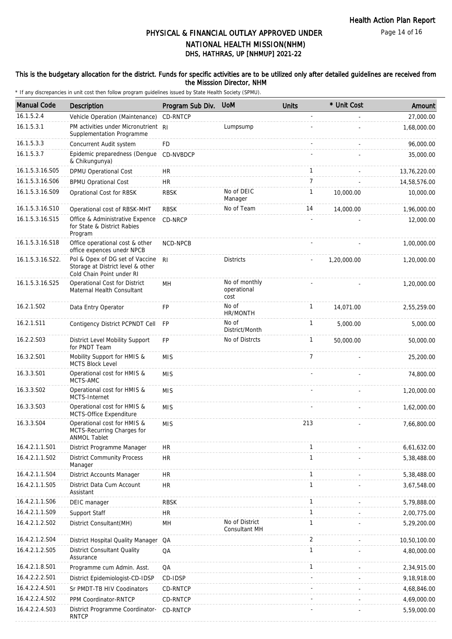#### This is the budgetary allocation for the district. Funds for specific activities are to be utilized only after detailed guidelines are received from the Misssion Director, NHM

| <b>Manual Code</b> | Description                                                                                       | Program Sub Div. | <b>UoM</b>                             | <b>Units</b>   | * Unit Cost | Amount       |
|--------------------|---------------------------------------------------------------------------------------------------|------------------|----------------------------------------|----------------|-------------|--------------|
| 16.1.5.2.4         | Vehicle Operation (Maintenance)                                                                   | CD-RNTCP         |                                        |                |             | 27,000.00    |
| 16.1.5.3.1         | PM activities under Micronutrient RI<br>Supplementation Programme                                 |                  | Lumpsump                               |                |             | 1,68,000.00  |
| 16.1.5.3.3         | Concurrent Audit system                                                                           | FD               |                                        |                |             | 96,000.00    |
| 16.1.5.3.7         | Epidemic preparedness (Dengue<br>& Chikungunya)                                                   | CD-NVBDCP        |                                        |                |             | 35,000.00    |
| 16.1.5.3.16.S05    | DPMU Operational Cost                                                                             | <b>HR</b>        |                                        | $\mathbf{1}$   |             | 13,76,220.00 |
| 16.1.5.3.16.S06    | <b>BPMU Oprational Cost</b>                                                                       | HR               |                                        | $\overline{7}$ |             | 14,58,576.00 |
| 16.1.5.3.16.S09    | Oprational Cost for RBSK                                                                          | <b>RBSK</b>      | No of DEIC<br>Manager                  | 1              | 10,000.00   | 10,000.00    |
| 16.1.5.3.16.S10    | Operational cost of RBSK-MHT                                                                      | <b>RBSK</b>      | No of Team                             | 14             | 14,000.00   | 1,96,000.00  |
| 16.1.5.3.16.S15    | Office & Administrative Expence<br>for State & District Rabies<br>Program                         | CD-NRCP          |                                        |                |             | 12,000.00    |
| 16.1.5.3.16.S18    | Office operational cost & other<br>office expences unedr NPCB                                     | NCD-NPCB         |                                        |                |             | 1,00,000.00  |
| 16.1.5.3.16.S22.   | Pol & Opex of DG set of Vaccine<br>Storage at District level & other<br>Cold Chain Point under RI | R <sub>l</sub>   | <b>Districts</b>                       |                | 1,20,000.00 | 1,20,000.00  |
| 16.1.5.3.16.S25    | Operational Cost for District<br>Maternal Health Consultant                                       | MH               | No of monthly<br>operational<br>cost   |                |             | 1,20,000.00  |
| 16.2.1.S02         | Data Entry Operator                                                                               | <b>FP</b>        | No of<br>HR/MONTH                      | $\mathbf{1}$   | 14,071.00   | 2,55,259.00  |
| 16.2.1.S11         | Contigency District PCPNDT Cell                                                                   | <b>FP</b>        | No of<br>District/Month                | $\mathbf{1}$   | 5,000.00    | 5,000.00     |
| 16.2.2.S03         | District Level Mobility Support<br>for PNDT Team                                                  | <b>FP</b>        | No of Distrcts                         | 1              | 50,000.00   | 50,000.00    |
| 16.3.2.S01         | Mobility Support for HMIS &<br><b>MCTS Block Level</b>                                            | <b>MIS</b>       |                                        | $\overline{7}$ |             | 25,200.00    |
| 16.3.3.S01         | Operational cost for HMIS &<br>MCTS-AMC                                                           | <b>MIS</b>       |                                        |                |             | 74,800.00    |
| 16.3.3.S02         | Operational cost for HMIS &<br>MCTS-Internet                                                      | <b>MIS</b>       |                                        |                |             | 1,20,000.00  |
| 16.3.3.S03         | Operational cost for HMIS &<br>MCTS-Office Expenditure                                            | <b>MIS</b>       |                                        |                |             | 1,62,000.00  |
| 16.3.3.S04         | Operational cost for HMIS &<br>MCTS-Recurring Charges for<br><b>ANMOL Tablet</b>                  | <b>MIS</b>       |                                        | 213            |             | 7,66,800.00  |
| 16.4.2.1.1.S01     | District Programme Manager                                                                        | <b>HR</b>        |                                        | $\mathbf{1}$   |             | 6,61,632.00  |
| 16.4.2.1.1.S02     | <b>District Community Process</b><br>Manager                                                      | <b>HR</b>        |                                        | $\mathbf{1}$   |             | 5,38,488.00  |
| 16.4.2.1.1.S04     | District Accounts Manager                                                                         | <b>HR</b>        |                                        | $\mathbf{1}$   |             | 5,38,488.00  |
| 16.4.2.1.1.S05     | District Data Cum Account<br>Assistant                                                            | <b>HR</b>        |                                        | $\mathbf{1}$   |             | 3,67,548.00  |
| 16.4.2.1.1.S06     | DEIC manager                                                                                      | <b>RBSK</b>      |                                        | $\mathbf{1}$   |             | 5,79,888.00  |
| 16.4.2.1.1.S09     | Support Staff                                                                                     | <b>HR</b>        |                                        | $\mathbf{1}$   |             | 2,00,775.00  |
| 16.4.2.1.2.S02     | District Consultant(MH)                                                                           | MH               | No of District<br><b>Consultant MH</b> | 1              |             | 5,29,200.00  |
| 16.4.2.1.2.S04     | District Hospital Quality Manager                                                                 | QA               |                                        | 2              |             | 10,50,100.00 |
| 16.4.2.1.2.S05     | <b>District Consultant Quality</b><br>Assurance                                                   | QA               |                                        | $\mathbf{1}$   |             | 4,80,000.00  |
| 16.4.2.1.8.S01     | Programme cum Admin. Asst.                                                                        | QA               |                                        | $\mathbf{1}$   |             | 2,34,915.00  |
| 16.4.2.2.2.S01     | District Epidemiologist-CD-IDSP                                                                   | CD-IDSP          |                                        |                |             | 9,18,918.00  |
| 16.4.2.2.4.S01     | Sr PMDT-TB HIV Coodinators                                                                        | CD-RNTCP         |                                        |                |             | 4,68,846.00  |
| 16.4.2.2.4.S02     | PPM Coordinator-RNTCP                                                                             | CD-RNTCP         |                                        |                |             | 4,69,000.00  |
| 16.4.2.2.4.S03     | District Programme Coordinator-<br><b>RNTCP</b>                                                   | CD-RNTCP         |                                        |                |             | 5,59,000.00  |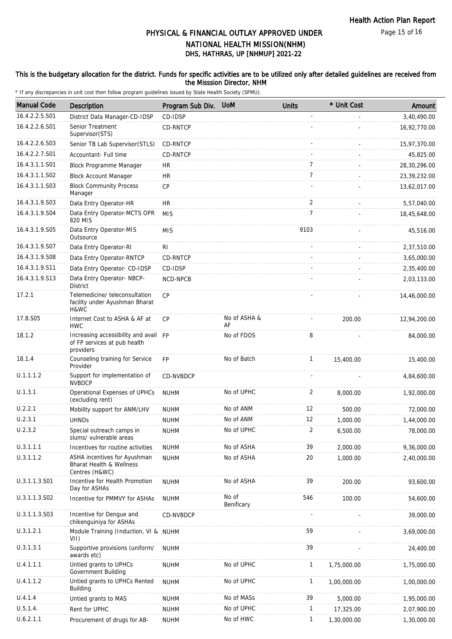### This is the budgetary allocation for the district. Funds for specific activities are to be utilized only after detailed guidelines are received from the Misssion Director, NHM

| <b>Manual Code</b> | Description                                                                           | Program Sub Div. | <b>UoM</b>          | <b>Units</b>   | * Unit Cost | Amount       |
|--------------------|---------------------------------------------------------------------------------------|------------------|---------------------|----------------|-------------|--------------|
| 16.4.2.2.5.S01     | District Data Manager-CD-IDSP                                                         | CD-IDSP          |                     |                |             | 3,40,490.00  |
| 16.4.2.2.6.S01     | Senior Treatment<br>Supervisor(STS)                                                   | CD-RNTCP         |                     |                |             | 16,92,770.00 |
| 16.4.2.2.6.S03     | Senior TB Lab Supervisor (STLS)                                                       | CD-RNTCP         |                     |                |             | 15,97,370.00 |
| 16.4.2.2.7.S01     | Accountant- Full time                                                                 | CD-RNTCP         |                     |                |             | 45,825.00    |
| 16.4.3.1.1.S01     | Block Programme Manager                                                               | <b>HR</b>        |                     | $\overline{7}$ |             | 28,30,296.00 |
| 16.4.3.1.1.S02     | <b>Block Account Manager</b>                                                          | <b>HR</b>        |                     | $\overline{7}$ |             | 23,39,232.00 |
| 16.4.3.1.1.S03     | <b>Block Community Process</b><br>Manager                                             | <b>CP</b>        |                     |                |             | 13,62,017.00 |
| 16.4.3.1.9.S03     | Data Entry Operator-HR                                                                | <b>HR</b>        |                     | 2              |             | 5,57,040.00  |
| 16.4.3.1.9.S04     | Data Entry Operator-MCTS OPR<br>820 MIS                                               | <b>MIS</b>       |                     | 7              |             | 18,45,648.00 |
| 16.4.3.1.9.S05     | Data Entry Operator-MIS<br>Outsource                                                  | <b>MIS</b>       |                     | 9103           |             | 45,516.00    |
| 16.4.3.1.9.S07     | Data Entry Operator-RI                                                                | R <sub>l</sub>   |                     |                |             | 2,37,510.00  |
| 16.4.3.1.9.S08     | Data Entry Operator-RNTCP                                                             | CD-RNTCP         |                     |                |             | 3,65,000.00  |
| 16.4.3.1.9.S11     | Data Entry Operator- CD-IDSP                                                          | CD-IDSP          |                     |                |             | 2,35,400.00  |
| 16.4.3.1.9.S13     | Data Entry Operator- NBCP-<br><b>District</b>                                         | NCD-NPCB         |                     |                |             | 2,03,133.00  |
| 17.2.1             | Telemedicine/ teleconsultation<br>facility under Ayushman Bharat<br>H&WC              | <b>CP</b>        |                     |                |             | 14,46,000.00 |
| 17.8.S05           | Internet Cost to ASHA & AF at<br><b>HWC</b>                                           | <b>CP</b>        | No of ASHA &<br>AF  |                | 200.00      | 12,94,200.00 |
| 18.1.2             | Increasing accessibility and avail FP<br>of FP services at pub health<br>providers    |                  | No of FDOS          | 8              |             | 84,000.00    |
| 18.1.4             | Counseling training for Service<br>Provider                                           | <b>FP</b>        | No of Batch         | $\mathbf{1}$   | 15,400.00   | 15,400.00    |
| U.1.1.1.2          | Support for implementation of<br><b>NVBDCP</b>                                        | CD-NVBDCP        |                     |                |             | 4,84,600.00  |
| U.1.3.1            | Operational Expenses of UPHCs<br>(excluding rent)                                     | <b>NUHM</b>      | No of UPHC          | 2              | 8,000.00    | 1,92,000.00  |
| U.2.2.1            | Mobility support for ANM/LHV                                                          | <b>NUHM</b>      | No of ANM           | 12             | 500.00      | 72,000.00    |
| U.2.3.1            | <b>UHNDs</b>                                                                          | <b>NUHM</b>      | No of ANM           | 12             | 1,000.00    | 1,44,000.00  |
| U.2.3.2            | Special outreach camps in<br>slums/ vulnerable areas                                  | <b>NUHM</b>      | No of UPHC          | 2              | 6,500.00    | 78,000.00    |
| U.3.1.1.1          | Incentives for routine activities                                                     | <b>NUHM</b>      | No of ASHA          | 39             | 2,000.00    | 9,36,000.00  |
| U.3.1.1.2          | ASHA incentives for Ayushman<br><b>Bharat Health &amp; Wellness</b><br>Centres (H&WC) | <b>NUHM</b>      | No of ASHA          | 20             | 1,000.00    | 2,40,000.00  |
| U.3.1.1.3.S01      | Incentive for Health Promotion<br>Day for ASHAs                                       | <b>NUHM</b>      | No of ASHA          | 39             | 200.00      | 93,600.00    |
| U.3.1.1.3.S02      | Incentive for PMMVY for ASHAs                                                         | <b>NUHM</b>      | No of<br>Benificary | 546            | 100.00      | 54,600.00    |
| U.3.1.1.3.S03      | Incentive for Dengue and<br>chikenguiniya for ASHAs                                   | CD-NVBDCP        |                     |                |             | 39,000.00    |
| U.3.1.2.1          | Module Training (Induction, VI & NUHM<br>VII)                                         |                  |                     | 59             |             | 3,69,000.00  |
| U.3.1.3.1          | Supportive provisions (uniform/<br>awards etc)                                        | <b>NUHM</b>      |                     | 39             |             | 24,400.00    |
| U.4.1.1.1          | Untied grants to UPHCs<br>Government Building                                         | <b>NUHM</b>      | No of UPHC          | $\mathbf{1}$   | 1,75,000.00 | 1,75,000.00  |
| U.4.1.1.2          | Untied grants to UPHCs Rented<br><b>Building</b>                                      | <b>NUHM</b>      | No of UPHC          | $\mathbf{1}$   | 1,00,000.00 | 1,00,000.00  |
| U.4.1.4            | Untied grants to MAS                                                                  | <b>NUHM</b>      | No of MASs          | 39             | 5,000.00    | 1,95,000.00  |
| U.5.1.4.           | Rent for UPHC                                                                         | <b>NUHM</b>      | No of UPHC          | $\mathbf{1}$   | 17,325.00   | 2,07,900.00  |
| U.6.2.1.1          | Procurement of drugs for AB-                                                          | <b>NUHM</b>      | No of HWC           | 1              | 1,30,000.00 | 1,30,000.00  |